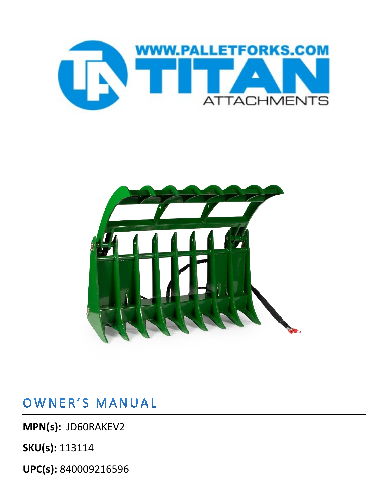



## OWNER'S MANUAL

**MPN(s):** JD60RAKEV2

**SKU(s):** 113114

**UPC(s):** 840009216596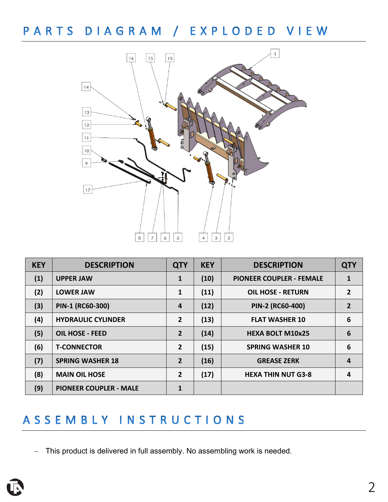### PARTS DIAGRAM / EXPLODED VIEW



| <b>KEY</b> | <b>DESCRIPTION</b>            | <b>QTY</b>     | <b>KEY</b> | <b>DESCRIPTION</b>              | <b>QTY</b>     |
|------------|-------------------------------|----------------|------------|---------------------------------|----------------|
| (1)        | <b>UPPER JAW</b>              | 1              | (10)       | <b>PIONEER COUPLER - FEMALE</b> | $\mathbf{1}$   |
| (2)        | <b>LOWER JAW</b>              | 1              | (11)       | <b>OIL HOSE - RETURN</b>        | $\overline{2}$ |
| (3)        | PIN-1 (RC60-300)              | 4              | (12)       | PIN-2 (RC60-400)                | $\overline{2}$ |
| (4)        | <b>HYDRAULIC CYLINDER</b>     | $\overline{2}$ | (13)       | <b>FLAT WASHER 10</b>           | 6              |
| (5)        | <b>OIL HOSE - FEED</b>        | $\overline{2}$ | (14)       | <b>HEXA BOLT M10x25</b>         | 6              |
| (6)        | <b>T-CONNECTOR</b>            | $\overline{2}$ | (15)       | <b>SPRING WASHER 10</b>         | 6              |
| (7)        | <b>SPRING WASHER 18</b>       | $\overline{2}$ | (16)       | <b>GREASE ZERK</b>              | 4              |
| (8)        | <b>MAIN OIL HOSE</b>          | $\overline{2}$ | (17)       | <b>HEXA THIN NUT G3-8</b>       | 4              |
| (9)        | <b>PIONEER COUPLER - MALE</b> | 1              |            |                                 |                |

## ASSEMBLY INSTRUCTIONS

− This product is delivered in full assembly. No assembling work is needed.